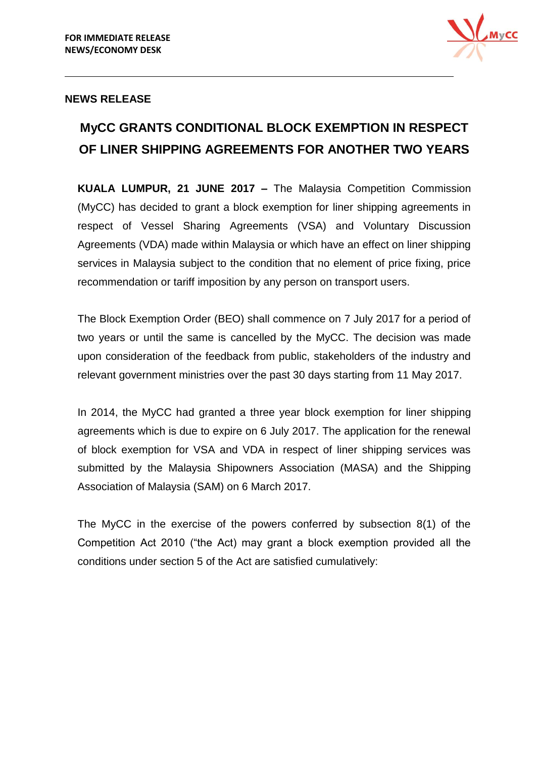

### **NEWS RELEASE**

# **MyCC GRANTS CONDITIONAL BLOCK EXEMPTION IN RESPECT OF LINER SHIPPING AGREEMENTS FOR ANOTHER TWO YEARS**

**KUALA LUMPUR, 21 JUNE 2017 –** The Malaysia Competition Commission (MyCC) has decided to grant a block exemption for liner shipping agreements in respect of Vessel Sharing Agreements (VSA) and Voluntary Discussion Agreements (VDA) made within Malaysia or which have an effect on liner shipping services in Malaysia subject to the condition that no element of price fixing, price recommendation or tariff imposition by any person on transport users.

The Block Exemption Order (BEO) shall commence on 7 July 2017 for a period of two years or until the same is cancelled by the MyCC. The decision was made upon consideration of the feedback from public, stakeholders of the industry and relevant government ministries over the past 30 days starting from 11 May 2017.

In 2014, the MyCC had granted a three year block exemption for liner shipping agreements which is due to expire on 6 July 2017. The application for the renewal of block exemption for VSA and VDA in respect of liner shipping services was submitted by the Malaysia Shipowners Association (MASA) and the Shipping Association of Malaysia (SAM) on 6 March 2017.

The MyCC in the exercise of the powers conferred by subsection 8(1) of the Competition Act 2010 ("the Act) may grant a block exemption provided all the conditions under section 5 of the Act are satisfied cumulatively: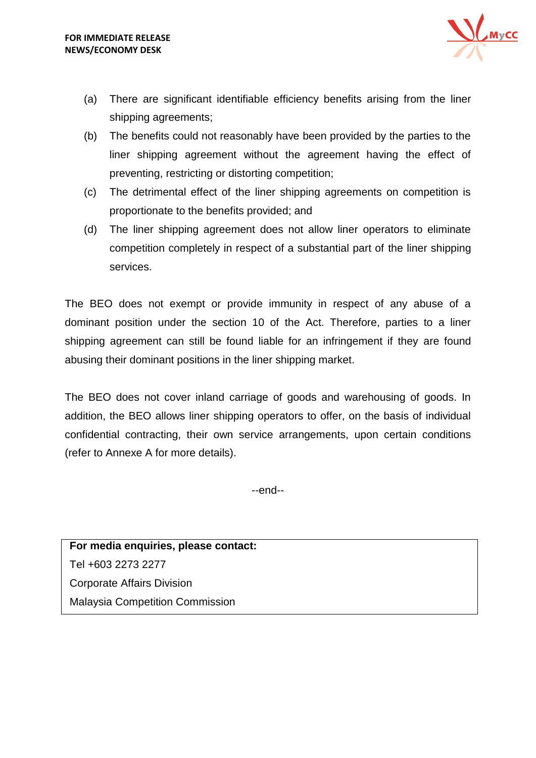

- (a) There are significant identifiable efficiency benefits arising from the liner shipping agreements;
- (b) The benefits could not reasonably have been provided by the parties to the liner shipping agreement without the agreement having the effect of preventing, restricting or distorting competition;
- (c) The detrimental effect of the liner shipping agreements on competition is proportionate to the benefits provided; and
- (d) The liner shipping agreement does not allow liner operators to eliminate competition completely in respect of a substantial part of the liner shipping services.

The BEO does not exempt or provide immunity in respect of any abuse of a dominant position under the section 10 of the Act. Therefore, parties to a liner shipping agreement can still be found liable for an infringement if they are found abusing their dominant positions in the liner shipping market.

The BEO does not cover inland carriage of goods and warehousing of goods. In addition, the BEO allows liner shipping operators to offer, on the basis of individual confidential contracting, their own service arrangements, upon certain conditions (refer to Annexe A for more details).

--end--

**For media enquiries, please contact:**  Tel +603 2273 2277 Corporate Affairs Division Malaysia Competition Commission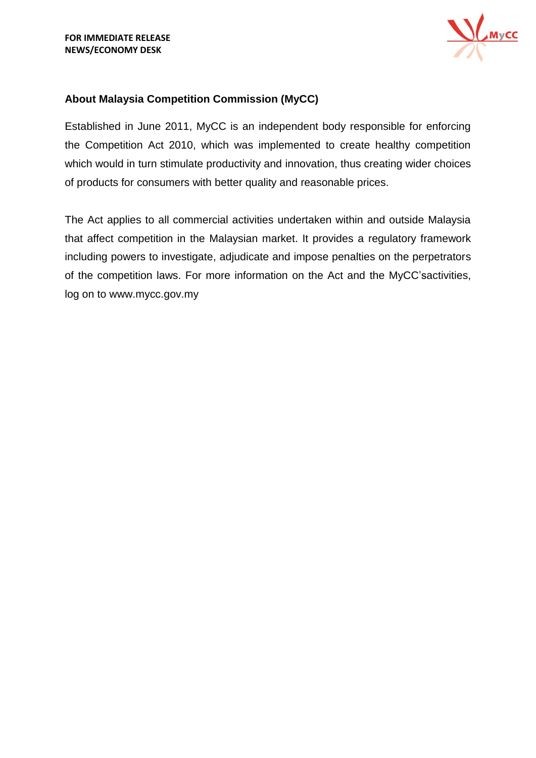

# **About Malaysia Competition Commission (MyCC)**

Established in June 2011, MyCC is an independent body responsible for enforcing the Competition Act 2010, which was implemented to create healthy competition which would in turn stimulate productivity and innovation, thus creating wider choices of products for consumers with better quality and reasonable prices.

The Act applies to all commercial activities undertaken within and outside Malaysia that affect competition in the Malaysian market. It provides a regulatory framework including powers to investigate, adjudicate and impose penalties on the perpetrators of the competition laws. For more information on the Act and the MyCC'sactivities, log on to [www.mycc.gov.my](http://www.mycc.gov.my/)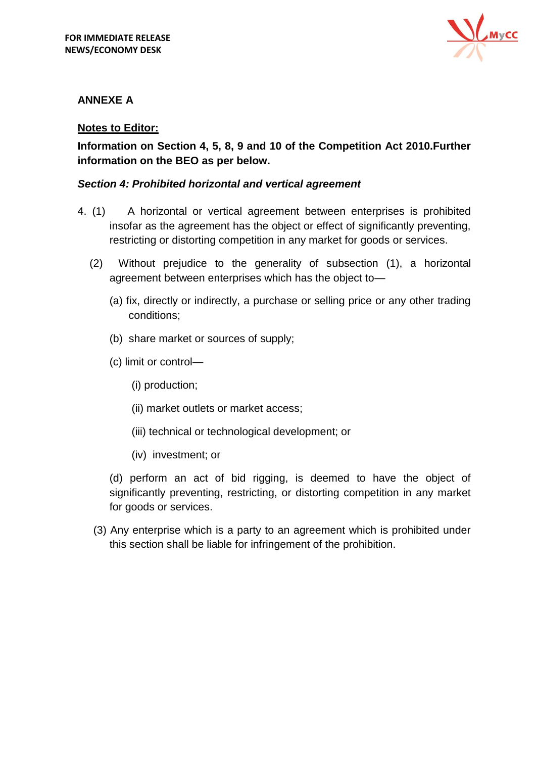

# **ANNEXE A**

## **Notes to Editor:**

**Information on Section 4, 5, 8, 9 and 10 of the Competition Act 2010.Further information on the BEO as per below.**

## *Section 4: Prohibited horizontal and vertical agreement*

- 4. (1) A horizontal or vertical agreement between enterprises is prohibited insofar as the agreement has the object or effect of significantly preventing, restricting or distorting competition in any market for goods or services.
	- (2) Without prejudice to the generality of subsection (1), a horizontal agreement between enterprises which has the object to—
		- (a) fix, directly or indirectly, a purchase or selling price or any other trading conditions;
		- (b) share market or sources of supply;
		- (c) limit or control—
			- (i) production;
			- (ii) market outlets or market access;
			- (iii) technical or technological development; or
			- (iv) investment; or

(d) perform an act of bid rigging, is deemed to have the object of significantly preventing, restricting, or distorting competition in any market for goods or services.

(3) Any enterprise which is a party to an agreement which is prohibited under this section shall be liable for infringement of the prohibition.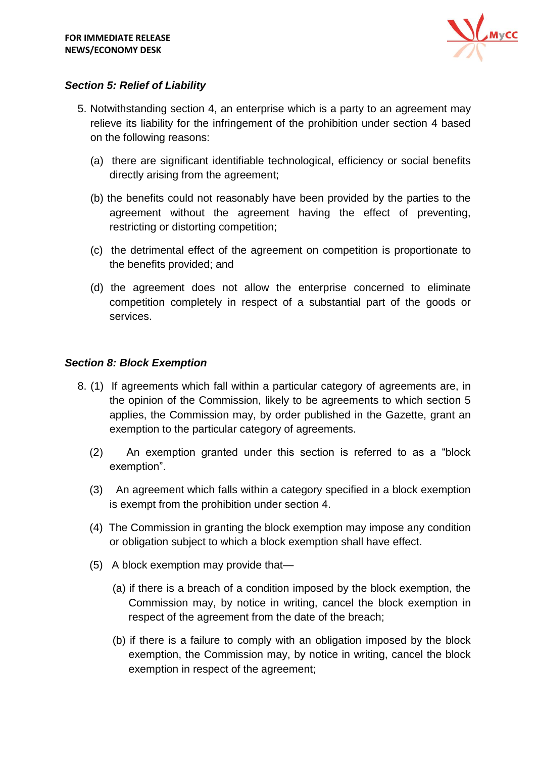

## *Section 5: Relief of Liability*

- 5. Notwithstanding section 4, an enterprise which is a party to an agreement may relieve its liability for the infringement of the prohibition under section 4 based on the following reasons:
	- (a) there are significant identifiable technological, efficiency or social benefits directly arising from the agreement;
	- (b) the benefits could not reasonably have been provided by the parties to the agreement without the agreement having the effect of preventing, restricting or distorting competition;
	- (c) the detrimental effect of the agreement on competition is proportionate to the benefits provided; and
	- (d) the agreement does not allow the enterprise concerned to eliminate competition completely in respect of a substantial part of the goods or services.

### *Section 8: Block Exemption*

- 8. (1) If agreements which fall within a particular category of agreements are, in the opinion of the Commission, likely to be agreements to which section 5 applies, the Commission may, by order published in the Gazette, grant an exemption to the particular category of agreements.
	- (2) An exemption granted under this section is referred to as a "block exemption".
	- (3) An agreement which falls within a category specified in a block exemption is exempt from the prohibition under section 4.
	- (4) The Commission in granting the block exemption may impose any condition or obligation subject to which a block exemption shall have effect.
	- (5) A block exemption may provide that—
		- (a) if there is a breach of a condition imposed by the block exemption, the Commission may, by notice in writing, cancel the block exemption in respect of the agreement from the date of the breach;
		- (b) if there is a failure to comply with an obligation imposed by the block exemption, the Commission may, by notice in writing, cancel the block exemption in respect of the agreement;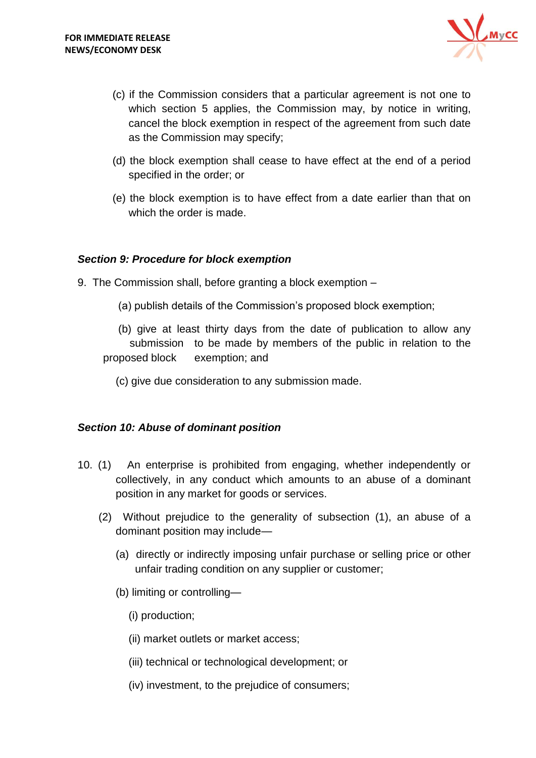

- (c) if the Commission considers that a particular agreement is not one to which section 5 applies, the Commission may, by notice in writing, cancel the block exemption in respect of the agreement from such date as the Commission may specify;
- (d) the block exemption shall cease to have effect at the end of a period specified in the order; or
- (e) the block exemption is to have effect from a date earlier than that on which the order is made.

#### *Section 9: Procedure for block exemption*

- 9. The Commission shall, before granting a block exemption
	- (a) publish details of the Commission's proposed block exemption;
	- (b) give at least thirty days from the date of publication to allow any submission to be made by members of the public in relation to the proposed block exemption; and
		- (c) give due consideration to any submission made.

#### *Section 10: Abuse of dominant position*

- 10. (1) An enterprise is prohibited from engaging, whether independently or collectively, in any conduct which amounts to an abuse of a dominant position in any market for goods or services.
	- (2) Without prejudice to the generality of subsection (1), an abuse of a dominant position may include—
		- (a) directly or indirectly imposing unfair purchase or selling price or other unfair trading condition on any supplier or customer;
		- (b) limiting or controlling—
			- (i) production;
			- (ii) market outlets or market access;
			- (iii) technical or technological development; or
			- (iv) investment, to the prejudice of consumers;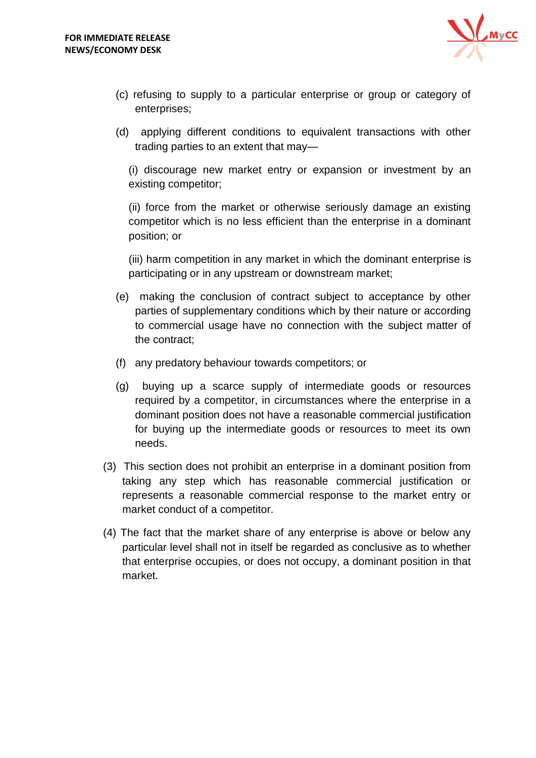

- (c) refusing to supply to a particular enterprise or group or category of enterprises;
- (d) applying different conditions to equivalent transactions with other trading parties to an extent that may—

(i) discourage new market entry or expansion or investment by an existing competitor;

(ii) force from the market or otherwise seriously damage an existing competitor which is no less efficient than the enterprise in a dominant position; or

(iii) harm competition in any market in which the dominant enterprise is participating or in any upstream or downstream market;

- (e) making the conclusion of contract subject to acceptance by other parties of supplementary conditions which by their nature or according to commercial usage have no connection with the subject matter of the contract;
- (f) any predatory behaviour towards competitors; or
- (g) buying up a scarce supply of intermediate goods or resources required by a competitor, in circumstances where the enterprise in a dominant position does not have a reasonable commercial justification for buying up the intermediate goods or resources to meet its own needs.
- (3) This section does not prohibit an enterprise in a dominant position from taking any step which has reasonable commercial justification or represents a reasonable commercial response to the market entry or market conduct of a competitor.
- (4) The fact that the market share of any enterprise is above or below any particular level shall not in itself be regarded as conclusive as to whether that enterprise occupies, or does not occupy, a dominant position in that market.